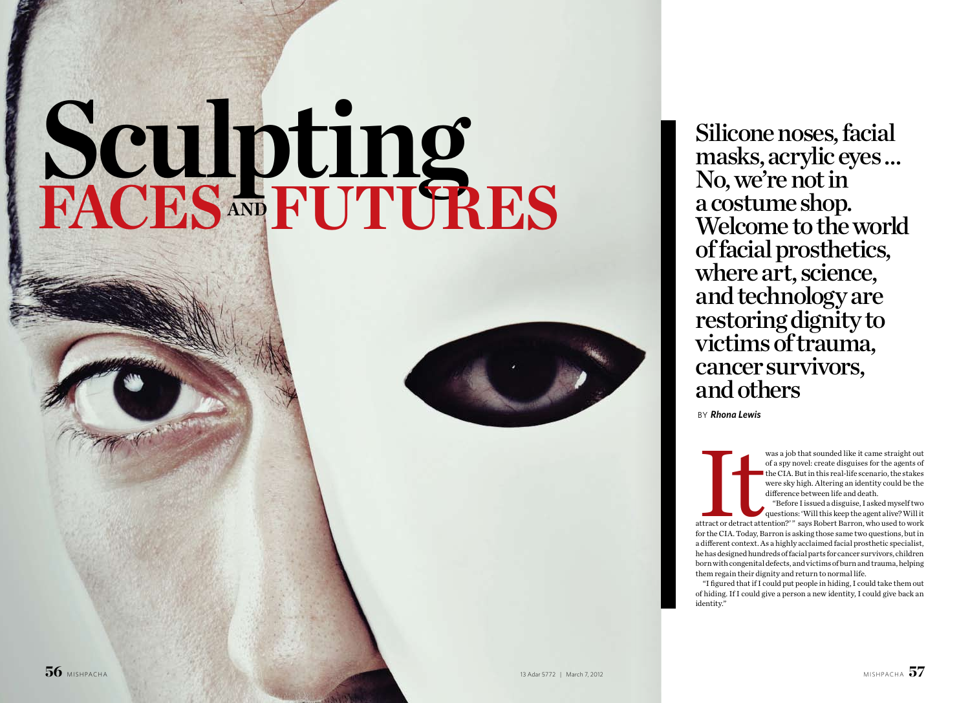# Silicone noses, facial masks, acrylic eyes … No, we're not in a costume shop. Welcome to the world of facial prosthetics, where art, science, and technology are restoring dignity to victims of trauma, cancer survivors,

and others by *Rhona Lewis*

Was a job that sounded like it came straight out<br>of a spy novel: create disguises for the agents of<br>the CIA. But in this real-life scenario, the stakes<br>were sky high. Altering an identity could be the<br>difference between li of a spy novel: create disguises for the agents of the CIA. But in this real-life scenario, the stakes were sky high. Altering an identity could be the difference between life and death.

"Before I issued a disguise, I asked myself two questions: 'Will this keep the agent alive? Will it attract or detract attention?' " says Robert Barron, who used to work for the CIA. Today, Barron is asking those same two questions, but in a different context. As a highly acclaimed facial prosthetic specialist, he has designed hundreds of facial parts for cancer survivors, children born with congenital defects, and victims of burn and trauma, helping them regain their dignity and return to normal life.

"I figured that if I could put people in hiding, I could take them out of hiding. If I could give a person a new identity, I could give back an

identity."

# **Sculpting Faces and Futures**

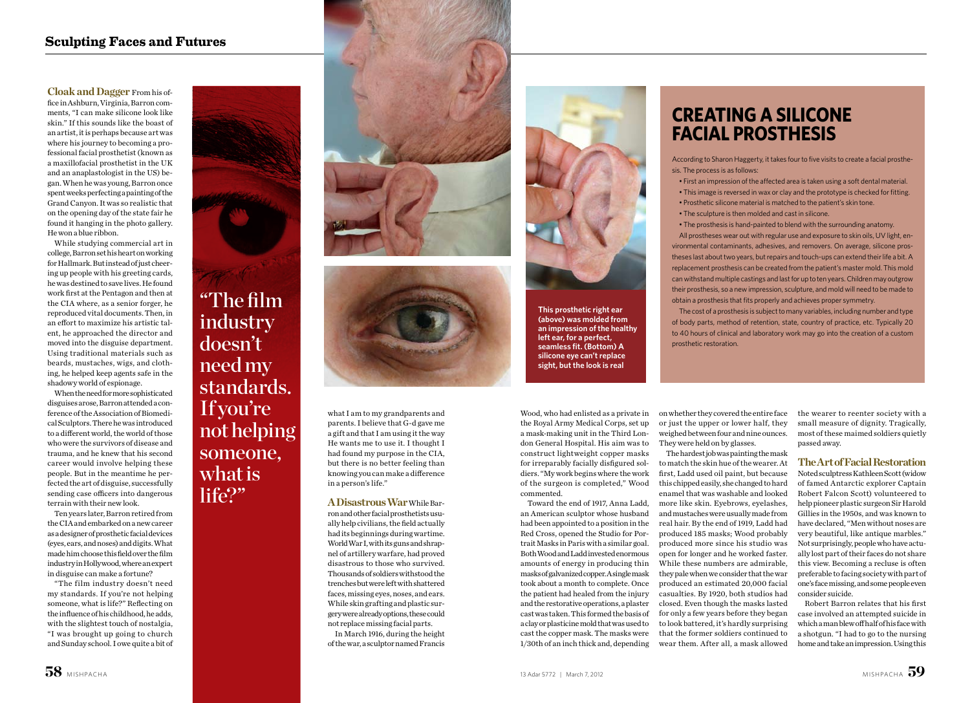## **Sculpting Faces and Futures**

**Cloak and Dagger** From his office in Ashburn, Virginia, Barron comments, "I can make silicone look like skin." If this sounds like the boast of an artist, it is perhaps because art was where his journey to becoming a professional facial prosthetist (known as a maxillofacial prosthetist in the UK and an anaplastologist in the US) began. When he was young, Barron once spent weeks perfecting a painting of the Grand Canyon. It was so realistic that on the opening day of the state fair he found it hanging in the photo gallery. He won a blue ribbon.

While studying commercial art in college, Barron set his heart on working for Hallmark. But instead of just cheering up people with his greeting cards, he was destined to save lives. He found work first at the Pentagon and then at the CIA where, as a senior forger, he reproduced vital documents. Then, in an effort to maximize his artistic talent, he approached the director and moved into the disguise department. Using traditional materials such as beards, mustaches, wigs, and clothing, he helped keep agents safe in the shadowy world of espionage.

When the need for more sophisticated disguises arose, Barron attended a conference of the Association of Biomedical Sculptors. There he was introduced to a different world, the world of those who were the survivors of disease and trauma, and he knew that his second career would involve helping these people. But in the meantime he perfected the art of disguise, successfully sending case officers into dangerous terrain with their new look.

Ten years later, Barron retired from the CIA and embarked on a new career as a designer of prosthetic facial devices (eyes, ears, and noses) and digits. What made him choose this field over the film industry in Hollywood, where an expert in disguise can make a fortune?

"The film industry doesn't need my standards. If you're not helping someone, what is life?" Reflecting on the influence of his childhood, he adds, with the slightest touch of nostalgia, "I was brought up going to church and Sunday school. I owe quite a bit of



Wood, who had enlisted as a private in the Royal Army Medical Corps, set up a mask-making unit in the Third London General Hospital. His aim was to construct lightweight copper masks for irreparably facially disfigured soldiers. "My work begins where the work of the surgeon is completed," Wood commented.

Toward the end of 1917, Anna Ladd, an American sculptor whose husband had been appointed to a position in the Red Cross, opened the Studio for Portrait Masks in Paris with a similar goal. Both Wood and Ladd invested enormous amounts of energy in producing thin masks of galvanized copper. A single mask took about a month to complete. Once the patient had healed from the injury and the restorative operations, a plaster cast was taken. This formed the basis of a clay or plasticine mold that was used to cast the copper mask. The masks were 1/30th of an inch thick and, depending on whether they covered the entire face or just the upper or lower half, they weighed between four and nine ounces. They were held on by glasses.

"The film industry doesn't need my standards. If you're not helping someone, what is life?"





The hardest job was painting the mask to match the skin hue of the wearer. At first, Ladd used oil paint, but because this chipped easily, she changed to hard enamel that was washable and looked more like skin. Eyebrows, eyelashes, and mustaches were usually made from real hair. By the end of 1919, Ladd had produced 185 masks; Wood probably produced more since his studio was open for longer and he worked faster. While these numbers are admirable, they pale when we consider that the war produced an estimated 20,000 facial casualties. By 1920, both studios had closed. Even though the masks lasted for only a few years before they began to look battered, it's hardly surprising that the former soldiers continued to wear them. After all, a mask allowed

the wearer to reenter society with a small measure of dignity. Tragically, most of these maimed soldiers quietly passed away.

### **The Art of Facial Restoration**

Noted sculptress Kathleen Scott (widow of famed Antarctic explorer Captain Robert Falcon Scott) volunteered to help pioneer plastic surgeon Sir Harold Gillies in the 1950s, and was known to have declared, "Men without noses are very beautiful, like antique marbles." Not surprisingly, people who have actually lost part of their faces do not share this view. Becoming a recluse is often preferable to facing society with part of one's face missing, and some people even consider suicide.

Robert Barron relates that his first case involved an attempted suicide in which a man blew off half of his face with a shotgun. "I had to go to the nursing home and take an impression. Using this

# **Creating a Silicone Facial Prosthesis**

According to Sharon Haggerty, it takes four to five visits to create a facial prosthesis. The process is as follows:

- 
- 
- 
- 

• First an impression of the affected area is taken using a soft dental material. • This image is reversed in wax or clay and the prototype is checked for fitting. • Prosthetic silicone material is matched to the patient's skin tone.

• The sculpture is then molded and cast in silicone.

• The prosthesis is hand-painted to blend with the surrounding anatomy.

All prostheses wear out with regular use and exposure to skin oils, UV light, environmental contaminants, adhesives, and removers. On average, silicone prostheses last about two years, but repairs and touch-ups can extend their life a bit. A replacement prosthesis can be created from the patient's master mold. This mold can withstand multiple castings and last for up to ten years. Children may outgrow their prosthesis, so a new impression, sculpture, and mold will need to be made to obtain a prosthesis that fits properly and achieves proper symmetry.

The cost of a prosthesis is subject to many variables, including number and type of body parts, method of retention, state, country of practice, etc. Typically 20 to 40 hours of clinical and laboratory work may go into the creation of a custom

prosthetic restoration.

what I am to my grandparents and parents. I believe that G-d gave me a gift and that I am using it the way He wants me to use it. I thought I had found my purpose in the CIA, but there is no better feeling than knowing you can make a difference in a person's life."

**ADisastrous War** While Barron and other facial prosthetists usually help civilians, the field actually had its beginnings during wartime. World War I, with its guns and shrapnel of artillery warfare, had proved disastrous to those who survived. Thousands of soldiers withstood the trenches but were left with shattered faces, missing eyes, noses, and ears. While skin grafting and plastic surgery were already options, these could not replace missing facial parts.

In March 1916, during the height of the war, a sculptor named Francis



**This prosthetic right ear (above) was molded from an impression of the healthy left ear, for a perfect, seamless fit. (Bottom) A silicone eye can't replace sight, but the look is real**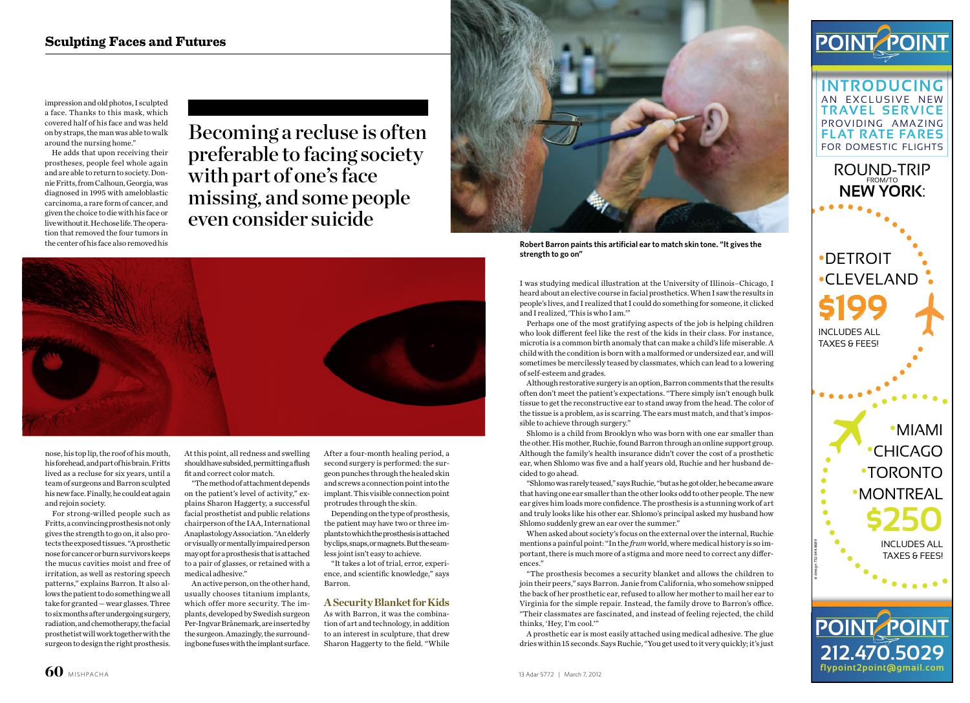I was studying medical illustration at the University of Illinois–Chicago, I heard about an elective course in facial prosthetics. When I saw the results in people's lives, and I realized that I could do something for someone, it clicked and I realized, 'This is who I am.'"

Perhaps one of the most gratifying aspects of the job is helping children who look different feel like the rest of the kids in their class. For instance, microtia is a common birth anomaly that can make a child's life miserable. A child with the condition is born with a malformed or undersized ear, and will sometimes be mercilessly teased by classmates, which can lead to a lowering of self-esteem and grades.

Although restorative surgery is an option, Barron comments that the results often don't meet the patient's expectations. "There simply isn't enough bulk tissue to get the reconstructive ear to stand away from the head. The color of the tissue is a problem, as is scarring. The ears must match, and that's impossible to achieve through surgery."

Shlomo is a child from Brooklyn who was born with one ear smaller than the other. His mother, Ruchie, found Barron through an online support group. Although the family's health insurance didn't cover the cost of a prosthetic ear, when Shlomo was five and a half years old, Ruchie and her husband decided to go ahead.

"Shlomo was rarely teased," says Ruchie, "but as he got older, he became aware that having one ear smaller than the other looks odd to other people. The new ear gives him loads more confidence. The prosthesis is a stunning work of art and truly looks like his other ear. Shlomo's principal asked my husband how Shlomo suddenly grew an ear over the summer."

ROUND-TRIP **NEW YORK**:

When asked about society's focus on the external over the internal, Ruchie mentions a painful point: "In the *frum* world, where medical history is so important, there is much more of a stigma and more need to correct any differences."

"The prosthesis becomes a security blanket and allows the children to join their peers," says Barron. Janie from California, who somehow snipped the back of her prosthetic ear, refused to allow her mother to mail her ear to Virginia for the simple repair. Instead, the family drove to Barron's office. "Their classmates are fascinated, and instead of feeling rejected, the child thinks, 'Hey, I'm cool.'"

A prosthetic ear is most easily attached using medical adhesive. The glue dries within 15 seconds. Says Ruchie, "You get used to it very quickly; it's just

Becoming a recluse is often preferable to facing society with part of one's face missing, and some people even consider suicide



At this point, all redness and swelling should have subsided, permitting a flush fit and correct color match.

"The method of attachment depends on the patient's level of activity," explains Sharon Haggerty, a successful facial prosthetist and public relations chairperson of the IAA, International Anaplastology Association. "An elderly or visually or mentally impaired person may opt for a prosthesis that is attached to a pair of glasses, or retained with a medical adhesive."

An active person, on the other hand, usually chooses titanium implants, which offer more security. The implants, developed by Swedish surgeon Per-Ingvar Brånemark, are inserted by the surgeon. Amazingly, the surrounding bone fuses with the implant surface.

•MIAMI •CHICAGO •TORONTO •MONTREAL **\$250**

INCLUDES ALL TAXES & FEES!

st design 732.644.8689

 $\bullet$  $\bullet$  $\bullet$  $\bullet$  $\bullet$ 



**INTRODUCING** AN EXCLUSIVE NEW **TRAVEL SERVICE** PROVIDING AMAZING **FLAT RATE FARES** FOR DOMESTIC FLIGHTS

**212.470.5029 flypoint2point@gmail.com**

PO

•DETROIT •CLEVELAND **\$199**

INCLUDES ALL TAXES & FEES!

After a four-month healing period, a second surgery is performed: the surgeon punches through the healed skin and screws a connection point into the implant. This visible connection point protrudes through the skin.

Depending on the type of prosthesis, the patient may have two or three implants to which the prosthesis is attached by clips, snaps, or magnets. But the seamless joint isn't easy to achieve.

"It takes a lot of trial, error, experience, and scientific knowledge," says Barron.

### **A Security Blanket for Kids**

As with Barron, it was the combination of art and technology, in addition to an interest in sculpture, that drew Sharon Haggerty to the field. "While

nose, his top lip, the roof of his mouth, his forehead, and part of his brain. Fritts lived as a recluse for six years, until a team of surgeons and Barron sculpted his new face. Finally, he could eat again and rejoin society.

For strong-willed people such as Fritts, a convincing prosthesis not only gives the strength to go on, it also protects the exposed tissues. "A prosthetic nose for cancer or burn survivors keeps the mucus cavities moist and free of irritation, as well as restoring speech patterns," explains Barron. It also allows the patient to do something we all take for granted — wear glasses. Three to six months after undergoing surgery, radiation, and chemotherapy, the facial prosthetist will work together with the surgeon to design the right prosthesis.



**Robert Barron paints this artificial ear to match skin tone. "It gives the strength to go on"**

impression and old photos, I sculpted a face. Thanks to this mask, which covered half of his face and was held on by straps, the man was able to walk around the nursing home."

He adds that upon receiving their prostheses, people feel whole again and are able to return to society. Donnie Fritts, from Calhoun, Georgia, was diagnosed in 1995 with ameloblastic carcinoma, a rare form of cancer, and given the choice to die with his face or live without it. He chose life. The operation that removed the four tumors in the center of his face also removed his